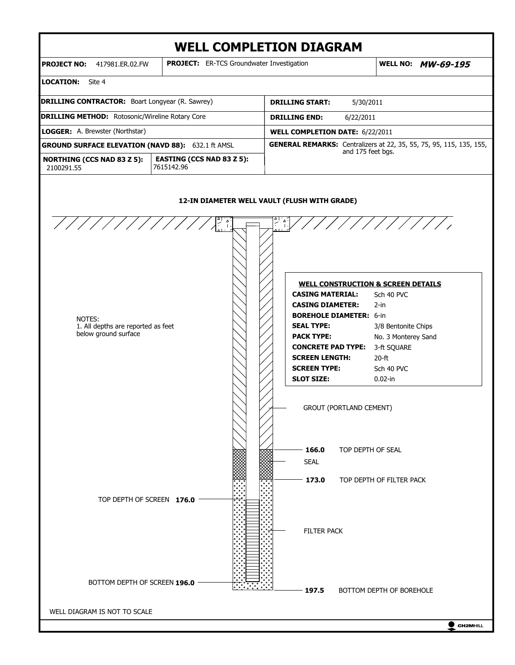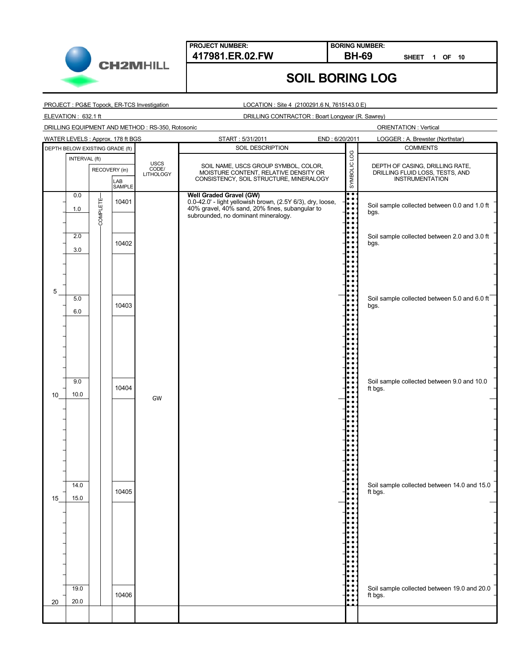

**BORING NUMBER:**

**SHEET 1 OF 10**

**SOIL BORING LOG**

PROJECT : PG&E Topock, ER-TCS Investigation

LOCATION : Site 4 (2100291.6 N, 7615143.0 E)

ELEVATION : 632.1 ft

DRILLING CONTRACTOR : Boart Longyear (R. Sawrey)

DRILLING EQUIPMENT AND METHOD : RS-350, Rotosonic

|    |                                 |               | WATER LEVELS: Approx. 178 ft BGS |    | END: 6/20/2011<br>START: 5/31/2011<br>LOGGER: A. Brewster (Northstar)                 |                                   |                                                                               |                                                      |  |                                                                    |  |
|----|---------------------------------|---------------|----------------------------------|----|---------------------------------------------------------------------------------------|-----------------------------------|-------------------------------------------------------------------------------|------------------------------------------------------|--|--------------------------------------------------------------------|--|
|    | DEPTH BELOW EXISTING GRADE (ft) |               |                                  |    | SOIL DESCRIPTION<br><b>COMMENTS</b>                                                   |                                   |                                                                               |                                                      |  |                                                                    |  |
|    |                                 | INTERVAL (ft) |                                  |    |                                                                                       |                                   |                                                                               |                                                      |  |                                                                    |  |
|    |                                 | RECOVERY (in) |                                  |    |                                                                                       | <b>USCS</b><br>CODE/<br>LITHOLOGY | SOIL NAME, USCS GROUP SYMBOL, COLOR,<br>MOISTURE CONTENT, RELATIVE DENSITY OR |                                                      |  | DEPTH OF CASING, DRILLING RATE,<br>DRILLING FLUID LOSS, TESTS, AND |  |
|    |                                 |               | LAB<br>SAMPLE                    |    | CONSISTENCY, SOIL STRUCTURE, MINERALOGY                                               | SYMBOLIC LOG                      |                                                                               | <b>INSTRUMENTATION</b>                               |  |                                                                    |  |
|    | 0.0                             |               |                                  |    | Well Graded Gravel (GW)                                                               | $\bullet$                         |                                                                               |                                                      |  |                                                                    |  |
|    |                                 |               | 10401                            |    | 0.0-42.0' - light yellowish brown, (2.5Y 6/3), dry, loose,                            | lo o<br>lo o                      |                                                                               |                                                      |  |                                                                    |  |
|    | 1.0                             | COMPLETE      |                                  |    | 40% gravel, 40% sand, 20% fines, subangular to<br>subrounded, no dominant mineralogy. | le e                              |                                                                               | Soil sample collected between 0.0 and 1.0 ft<br>bgs. |  |                                                                    |  |
|    |                                 |               |                                  |    |                                                                                       |                                   |                                                                               |                                                      |  |                                                                    |  |
|    | 2.0                             |               |                                  |    |                                                                                       |                                   |                                                                               | Soil sample collected between 2.0 and 3.0 ft         |  |                                                                    |  |
|    |                                 |               | 10402                            |    |                                                                                       |                                   | bgs.                                                                          |                                                      |  |                                                                    |  |
|    | 3.0                             |               |                                  |    |                                                                                       |                                   |                                                                               |                                                      |  |                                                                    |  |
|    |                                 |               |                                  |    |                                                                                       |                                   |                                                                               |                                                      |  |                                                                    |  |
|    |                                 |               |                                  |    |                                                                                       |                                   |                                                                               |                                                      |  |                                                                    |  |
|    |                                 |               |                                  |    |                                                                                       |                                   |                                                                               |                                                      |  |                                                                    |  |
| 5  | 5.0                             |               |                                  |    |                                                                                       |                                   |                                                                               | Soil sample collected between 5.0 and 6.0 ft         |  |                                                                    |  |
|    |                                 |               | 10403                            |    |                                                                                       |                                   | bgs.                                                                          |                                                      |  |                                                                    |  |
|    | 6.0                             |               |                                  |    |                                                                                       |                                   |                                                                               |                                                      |  |                                                                    |  |
|    |                                 |               |                                  |    |                                                                                       |                                   |                                                                               |                                                      |  |                                                                    |  |
|    |                                 |               |                                  |    |                                                                                       |                                   |                                                                               |                                                      |  |                                                                    |  |
|    |                                 |               |                                  |    |                                                                                       |                                   |                                                                               |                                                      |  |                                                                    |  |
|    |                                 |               |                                  |    |                                                                                       |                                   |                                                                               |                                                      |  |                                                                    |  |
|    |                                 |               |                                  |    |                                                                                       |                                   |                                                                               |                                                      |  |                                                                    |  |
|    | 9.0                             |               |                                  |    |                                                                                       |                                   |                                                                               | Soil sample collected between 9.0 and 10.0           |  |                                                                    |  |
|    |                                 |               | 10404                            |    |                                                                                       |                                   | ft bgs.                                                                       |                                                      |  |                                                                    |  |
| 10 | 10.0                            |               |                                  | GW |                                                                                       |                                   |                                                                               |                                                      |  |                                                                    |  |
|    |                                 |               |                                  |    |                                                                                       |                                   |                                                                               |                                                      |  |                                                                    |  |
|    |                                 |               |                                  |    |                                                                                       |                                   |                                                                               |                                                      |  |                                                                    |  |
|    |                                 |               |                                  |    |                                                                                       |                                   |                                                                               |                                                      |  |                                                                    |  |
|    |                                 |               |                                  |    |                                                                                       |                                   |                                                                               |                                                      |  |                                                                    |  |
|    |                                 |               |                                  |    |                                                                                       |                                   |                                                                               |                                                      |  |                                                                    |  |
|    |                                 |               |                                  |    |                                                                                       |                                   |                                                                               |                                                      |  |                                                                    |  |
|    |                                 |               |                                  |    |                                                                                       |                                   |                                                                               |                                                      |  |                                                                    |  |
|    | 14.0                            |               |                                  |    |                                                                                       |                                   |                                                                               | Soil sample collected between 14.0 and 15.0          |  |                                                                    |  |
| 15 | 15.0                            |               | 10405                            |    |                                                                                       |                                   | ft bgs.                                                                       |                                                      |  |                                                                    |  |
|    |                                 |               |                                  |    |                                                                                       |                                   |                                                                               |                                                      |  |                                                                    |  |
|    |                                 |               |                                  |    |                                                                                       |                                   |                                                                               |                                                      |  |                                                                    |  |
|    |                                 |               |                                  |    |                                                                                       |                                   |                                                                               |                                                      |  |                                                                    |  |
|    |                                 |               |                                  |    |                                                                                       |                                   |                                                                               |                                                      |  |                                                                    |  |
|    |                                 |               |                                  |    |                                                                                       |                                   |                                                                               |                                                      |  |                                                                    |  |
|    |                                 |               |                                  |    |                                                                                       |                                   |                                                                               |                                                      |  |                                                                    |  |
|    |                                 |               |                                  |    |                                                                                       |                                   |                                                                               |                                                      |  |                                                                    |  |
|    |                                 |               |                                  |    |                                                                                       |                                   |                                                                               |                                                      |  |                                                                    |  |
|    | 19.0                            |               |                                  |    |                                                                                       |                                   |                                                                               | Soil sample collected between 19.0 and 20.0          |  |                                                                    |  |
| 20 | 20.0                            |               | 10406                            |    |                                                                                       |                                   | ft bgs.                                                                       |                                                      |  |                                                                    |  |
|    |                                 |               |                                  |    |                                                                                       |                                   |                                                                               |                                                      |  |                                                                    |  |
|    |                                 |               |                                  |    |                                                                                       |                                   |                                                                               |                                                      |  |                                                                    |  |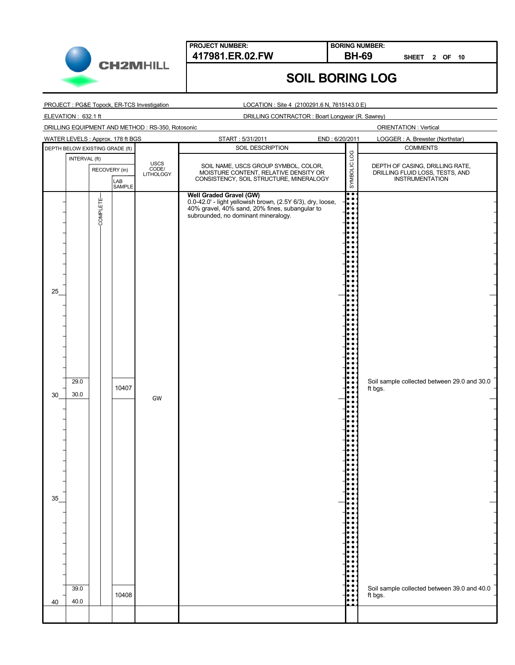

**BORING NUMBER:**

**SHEET 2 OF 10**

ORIENTATION : Vertical

# **SOIL BORING LOG**

PROJECT : PG&E Topock, ER-TCS Investigation

LOCATION : Site 4 (2100291.6 N, 7615143.0 E)

ELEVATION : 632.1 ft

DRILLING CONTRACTOR : Boart Longyear (R. Sawrey)

DRILLING EQUIPMENT AND METHOD : RS-350, Rotosonic

|    | WATER LEVELS : Approx. 178 ft BGS |                                 |               |               | START: 5/31/2011                                                                                                                                    | END: 6/20/2011             |                                                                               | LOGGER: A. Brewster (Northstar)                        |  |                                 |
|----|-----------------------------------|---------------------------------|---------------|---------------|-----------------------------------------------------------------------------------------------------------------------------------------------------|----------------------------|-------------------------------------------------------------------------------|--------------------------------------------------------|--|---------------------------------|
|    |                                   | DEPTH BELOW EXISTING GRADE (ft) |               |               | SOIL DESCRIPTION                                                                                                                                    |                            |                                                                               | <b>COMMENTS</b>                                        |  |                                 |
|    | INTERVAL (ft)                     |                                 |               |               |                                                                                                                                                     |                            | SYMBOLIC LOG                                                                  |                                                        |  |                                 |
|    |                                   |                                 |               | RECOVERY (in) |                                                                                                                                                     | USCS<br>CODE/<br>LITHOLOGY | SOIL NAME, USCS GROUP SYMBOL, COLOR,<br>MOISTURE CONTENT, RELATIVE DENSITY OR |                                                        |  | DEPTH OF CASING, DRILLING RATE, |
|    |                                   |                                 |               |               | CONSISTENCY, SOIL STRUCTURE, MINERALOGY                                                                                                             |                            |                                                                               | DRILLING FLUID LOSS, TESTS, AND<br>INSTRUMENTATION     |  |                                 |
|    |                                   |                                 | LAB<br>SAMPLE |               |                                                                                                                                                     |                            |                                                                               |                                                        |  |                                 |
|    |                                   |                                 |               |               | Well Graded Gravel (GW)                                                                                                                             |                            | l:                                                                            |                                                        |  |                                 |
|    |                                   | COMPLETE-                       |               |               | 0.0-42.0' - light yellowish brown, (2.5Y 6/3), dry, loose,<br>40% gravel, 40% sand, 20% fines, subangular to<br>subrounded, no dominant mineralogy. |                            | le e                                                                          |                                                        |  |                                 |
|    |                                   |                                 |               |               |                                                                                                                                                     |                            |                                                                               |                                                        |  |                                 |
|    |                                   |                                 |               |               |                                                                                                                                                     |                            |                                                                               |                                                        |  |                                 |
|    |                                   |                                 |               |               |                                                                                                                                                     |                            |                                                                               |                                                        |  |                                 |
|    |                                   |                                 |               |               |                                                                                                                                                     |                            |                                                                               |                                                        |  |                                 |
|    |                                   |                                 |               |               |                                                                                                                                                     |                            |                                                                               |                                                        |  |                                 |
|    |                                   |                                 |               |               |                                                                                                                                                     |                            |                                                                               |                                                        |  |                                 |
|    |                                   |                                 |               |               |                                                                                                                                                     |                            |                                                                               |                                                        |  |                                 |
|    |                                   |                                 |               |               |                                                                                                                                                     |                            |                                                                               |                                                        |  |                                 |
|    |                                   |                                 |               |               |                                                                                                                                                     |                            |                                                                               |                                                        |  |                                 |
| 25 |                                   |                                 |               |               |                                                                                                                                                     |                            |                                                                               |                                                        |  |                                 |
|    |                                   |                                 |               |               |                                                                                                                                                     |                            |                                                                               |                                                        |  |                                 |
|    |                                   |                                 |               |               |                                                                                                                                                     |                            |                                                                               |                                                        |  |                                 |
|    |                                   |                                 |               |               |                                                                                                                                                     |                            |                                                                               |                                                        |  |                                 |
|    |                                   |                                 |               |               |                                                                                                                                                     |                            |                                                                               |                                                        |  |                                 |
|    |                                   |                                 |               |               |                                                                                                                                                     |                            |                                                                               |                                                        |  |                                 |
|    |                                   |                                 |               |               |                                                                                                                                                     |                            |                                                                               |                                                        |  |                                 |
|    |                                   |                                 |               |               |                                                                                                                                                     |                            |                                                                               |                                                        |  |                                 |
|    |                                   |                                 |               |               |                                                                                                                                                     |                            |                                                                               |                                                        |  |                                 |
|    | 29.0                              |                                 |               |               |                                                                                                                                                     |                            |                                                                               | Soil sample collected between 29.0 and 30.0            |  |                                 |
|    |                                   |                                 | 10407         |               |                                                                                                                                                     |                            |                                                                               | ft bgs.                                                |  |                                 |
| 30 | $30.0\,$                          |                                 |               | GW            |                                                                                                                                                     |                            |                                                                               |                                                        |  |                                 |
|    |                                   |                                 |               |               |                                                                                                                                                     |                            |                                                                               |                                                        |  |                                 |
|    |                                   |                                 |               |               |                                                                                                                                                     |                            |                                                                               |                                                        |  |                                 |
|    |                                   |                                 |               |               |                                                                                                                                                     |                            |                                                                               |                                                        |  |                                 |
|    |                                   |                                 |               |               |                                                                                                                                                     |                            |                                                                               |                                                        |  |                                 |
|    |                                   |                                 |               |               |                                                                                                                                                     |                            |                                                                               |                                                        |  |                                 |
|    |                                   |                                 |               |               |                                                                                                                                                     |                            |                                                                               |                                                        |  |                                 |
|    |                                   |                                 |               |               |                                                                                                                                                     |                            |                                                                               |                                                        |  |                                 |
|    |                                   |                                 |               |               |                                                                                                                                                     |                            |                                                                               |                                                        |  |                                 |
|    |                                   |                                 |               |               |                                                                                                                                                     |                            |                                                                               |                                                        |  |                                 |
|    |                                   |                                 |               |               |                                                                                                                                                     |                            |                                                                               |                                                        |  |                                 |
| 35 |                                   |                                 |               |               |                                                                                                                                                     |                            |                                                                               |                                                        |  |                                 |
|    |                                   |                                 |               |               |                                                                                                                                                     |                            |                                                                               |                                                        |  |                                 |
|    |                                   |                                 |               |               |                                                                                                                                                     |                            |                                                                               |                                                        |  |                                 |
|    |                                   |                                 |               |               |                                                                                                                                                     |                            |                                                                               |                                                        |  |                                 |
|    |                                   |                                 |               |               |                                                                                                                                                     |                            |                                                                               |                                                        |  |                                 |
|    |                                   |                                 |               |               |                                                                                                                                                     |                            |                                                                               |                                                        |  |                                 |
|    |                                   |                                 |               |               |                                                                                                                                                     |                            |                                                                               |                                                        |  |                                 |
|    |                                   |                                 |               |               |                                                                                                                                                     |                            |                                                                               |                                                        |  |                                 |
|    |                                   |                                 |               |               |                                                                                                                                                     |                            |                                                                               |                                                        |  |                                 |
|    |                                   |                                 |               |               |                                                                                                                                                     |                            |                                                                               |                                                        |  |                                 |
|    | 39.0                              |                                 | 10408         |               |                                                                                                                                                     |                            | $\bullet$ $\bullet$                                                           | Soil sample collected between 39.0 and 40.0<br>ft bgs. |  |                                 |
| 40 | 40.0                              |                                 |               |               |                                                                                                                                                     |                            | $\bullet$                                                                     |                                                        |  |                                 |
|    |                                   |                                 |               |               |                                                                                                                                                     |                            |                                                                               |                                                        |  |                                 |
|    |                                   |                                 |               |               |                                                                                                                                                     |                            |                                                                               |                                                        |  |                                 |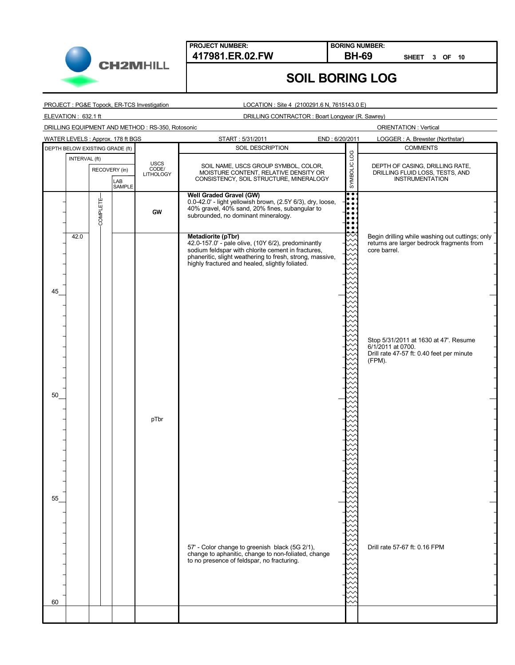

**BORING NUMBER:**

**SHEET 3 OF 10**

## **SOIL BORING LOG**

PROJECT : PG&E Topock, ER-TCS Investigation

ELEVATION : 632.1 ft

LOCATION : Site 4 (2100291.6 N, 7615143.0 E)

DRILLING CONTRACTOR : Boart Longyear (R. Sawrey)

DRILLING EQUIPMENT AND METHOD : RS-350, Rotosonic

| WATER LEVELS: Approx. 178 ft BGS |               |                 |               |                                          | START: 5/31/2011                                                                                                                                                                                                                              | END: 6/20/2011             | LOGGER: A. Brewster (Northstar)                                                                                   |
|----------------------------------|---------------|-----------------|---------------|------------------------------------------|-----------------------------------------------------------------------------------------------------------------------------------------------------------------------------------------------------------------------------------------------|----------------------------|-------------------------------------------------------------------------------------------------------------------|
| DEPTH BELOW EXISTING GRADE (ft)  |               |                 |               |                                          | SOIL DESCRIPTION                                                                                                                                                                                                                              |                            | <b>COMMENTS</b>                                                                                                   |
|                                  | INTERVAL (ft) | RECOVERY (in)   | LAB<br>SAMPLE | <b>USCS</b><br>CODE/<br><b>LITHOLOGY</b> | SOIL NAME, USCS GROUP SYMBOL, COLOR,<br>MOISTURE CONTENT, RELATIVE DENSITY OR<br>CONSISTENCY, SOIL STRUCTURE, MINERALOGY                                                                                                                      | SYMBOLIC LOG               | DEPTH OF CASING, DRILLING RATE,<br>DRILLING FLUID LOSS, TESTS, AND<br><b>INSTRUMENTATION</b>                      |
|                                  |               | <b>COMPLETE</b> |               | GW                                       | <b>Well Graded Gravel (GW)</b><br>0.0-42.0' - light yellowish brown, (2.5Y 6/3), dry, loose,<br>40% gravel, 40% sand, 20% fines, subangular to<br>subrounded, no dominant mineralogy.                                                         | ा•<br>lo e<br>le e<br>io e |                                                                                                                   |
| 45                               | 42.0          |                 |               |                                          | Metadiorite (pTbr)<br>42.0-157.0' - pale olive, (10Y 6/2), predominantly<br>sodium feldspar with chlorite cement in fractures,<br>phaneritic, slight weathering to fresh, strong, massive,<br>highly fractured and healed, slightly foliated. |                            | Begin drilling while washing out cuttings; only<br>returns are larger bedrock fragments from<br>core barrel.      |
| 50                               |               |                 |               |                                          |                                                                                                                                                                                                                                               |                            | Stop 5/31/2011 at 1630 at 47'. Resume<br>6/1/2011 at 0700.<br>Drill rate 47-57 ft: 0.40 feet per minute<br>(FPM). |
| 55                               |               |                 |               | pTbr                                     |                                                                                                                                                                                                                                               |                            |                                                                                                                   |
|                                  |               |                 |               |                                          | 57' - Color change to greenish black (5G 2/1),<br>change to aphanitic, change to non-foliated, change<br>to no presence of feldspar, no fracturing.                                                                                           |                            | Drill rate 57-67 ft: 0.16 FPM                                                                                     |
| 60                               |               |                 |               |                                          |                                                                                                                                                                                                                                               |                            |                                                                                                                   |
|                                  |               |                 |               |                                          |                                                                                                                                                                                                                                               |                            |                                                                                                                   |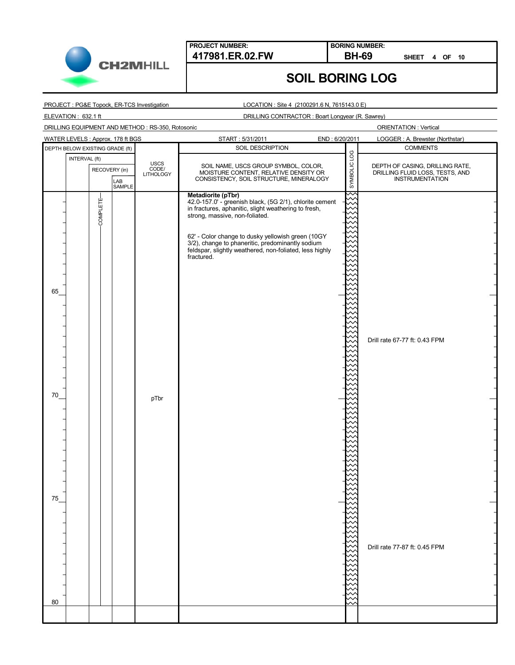

**BORING NUMBER:**

**SHEET 4 OF 10**

## **SOIL BORING LOG**

PROJECT : PG&E Topock, ER-TCS Investigation

LOCATION : Site 4 (2100291.6 N, 7615143.0 E)

ELEVATION : 632.1 ft

DRILLING CONTRACTOR : Boart Longyear (R. Sawrey)

DRILLING EQUIPMENT AND METHOD : RS-350, Rotosonic

| WATER LEVELS : Approx. 178 ft BGS               |                                   | START: 5/31/2011                                                                                                                                                                                                                                                                                                                                          | END: 6/20/2011 | LOGGER : A. Brewster (Northstar)                                                      |
|-------------------------------------------------|-----------------------------------|-----------------------------------------------------------------------------------------------------------------------------------------------------------------------------------------------------------------------------------------------------------------------------------------------------------------------------------------------------------|----------------|---------------------------------------------------------------------------------------|
| DEPTH BELOW EXISTING GRADE (ft)                 |                                   | SOIL DESCRIPTION<br><b>COMMENTS</b><br>SYMBOLIC LOG                                                                                                                                                                                                                                                                                                       |                |                                                                                       |
| INTERVAL (ft)<br>RECOVERY (in)<br>LAB<br>SAMPLE | <b>USCS</b><br>CODE/<br>LITHOLOGY | SOIL NAME, USCS GROUP SYMBOL, COLOR,<br>MOISTURE CONTENT, RELATIVE DENSITY OR<br>CONSISTENCY, SOIL STRUCTURE, MINERALOGY                                                                                                                                                                                                                                  |                | DEPTH OF CASING, DRILLING RATE,<br>DRILLING FLUID LOSS, TESTS, AND<br>INSTRUMENTATION |
| COMPLETE-<br>65<br>70                           | pTbr                              | Metadiorite (pTbr)<br>42.0-157.0' - greenish black, (5G 2/1), chlorite cement<br>in fractures, aphanitic, slight weathering to fresh,<br>strong, massive, non-foliated.<br>62' - Color change to dusky yellowish green (10GY<br>3/2), change to phaneritic, predominantly sodium<br>feldspar, slightly weathered, non-foliated, less highly<br>fractured. |                | Drill rate 67-77 ft: 0.43 FPM                                                         |
| 75<br>80                                        |                                   |                                                                                                                                                                                                                                                                                                                                                           |                | Drill rate 77-87 ft: 0.45 FPM                                                         |
|                                                 |                                   |                                                                                                                                                                                                                                                                                                                                                           |                |                                                                                       |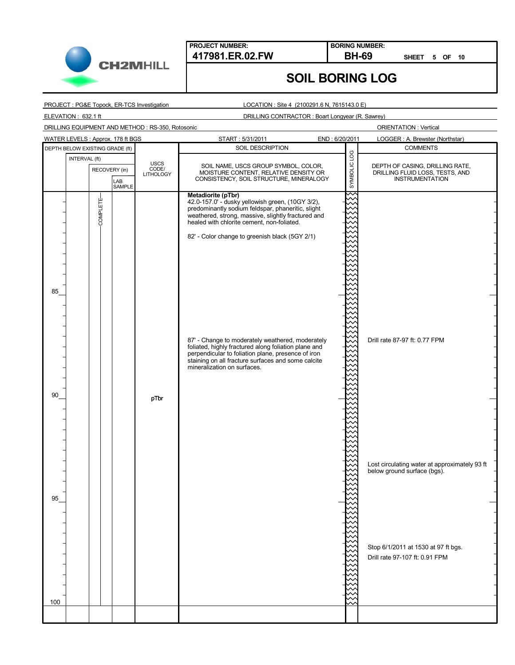

**BORING NUMBER:**

**SHEET 5 OF 10**

### **SOIL BORING LOG**

PROJECT : PG&E Topock, ER-TCS Investigation

ELEVATION : 632.1 ft

LOCATION : Site 4 (2100291.6 N, 7615143.0 E)

DRILLING CONTRACTOR : Boart Longyear (R. Sawrey)

DRILLING EQUIPMENT AND METHOD : RS-350, Rotosonic

| WATER LEVELS : Approx. 178 ft BGS               |                                   | START: 5/31/2011                                                                                                                                                                                                                                                                                                                                                                                                                                    | END: 6/20/2011 | LOGGER: A. Brewster (Northstar)                                                                                                                       |
|-------------------------------------------------|-----------------------------------|-----------------------------------------------------------------------------------------------------------------------------------------------------------------------------------------------------------------------------------------------------------------------------------------------------------------------------------------------------------------------------------------------------------------------------------------------------|----------------|-------------------------------------------------------------------------------------------------------------------------------------------------------|
| DEPTH BELOW EXISTING GRADE (ft)                 |                                   | SOIL DESCRIPTION                                                                                                                                                                                                                                                                                                                                                                                                                                    |                | <b>COMMENTS</b>                                                                                                                                       |
| INTERVAL (ft)<br>RECOVERY (in)<br>LAB<br>SAMPLE | USCS<br>CODE/<br><b>LITHOLOGY</b> | SOIL NAME, USCS GROUP SYMBOL, COLOR,<br>MOISTURE CONTENT, RELATIVE DENSITY OR<br>CONSISTENCY, SOIL STRUCTURE, MINERALOGY                                                                                                                                                                                                                                                                                                                            | SYMBOLIC LOG   | DEPTH OF CASING, DRILLING RATE,<br>DRILLING FLUID LOSS, TESTS, AND<br>INSTRUMENTATION                                                                 |
| COMPLETE-<br>85                                 |                                   | Metadiorite (pTbr)<br>42.0-157.0' - dusky yellowish green, (10GY 3/2),<br>predominantly sodium feldspar, phaneritic, slight<br>weathered, strong, massive, slightly fractured and<br>healed with chlorite cement, non-foliated.<br>82' - Color change to greenish black (5GY 2/1)<br>87' - Change to moderately weathered, moderately<br>foliated, highly fractured along foliation plane and<br>perpendicular to foliation plane, presence of iron |                | Drill rate 87-97 ft: 0.77 FPM                                                                                                                         |
| 90                                              | pTbr                              | staining on all fracture surfaces and some calcite<br>mineralization on surfaces.                                                                                                                                                                                                                                                                                                                                                                   |                |                                                                                                                                                       |
| 95                                              |                                   |                                                                                                                                                                                                                                                                                                                                                                                                                                                     |                | Lost circulating water at approximately 93 ft<br>below ground surface (bgs).<br>Stop 6/1/2011 at 1530 at 97 ft bgs.<br>Drill rate 97-107 ft: 0.91 FPM |
| 100                                             |                                   |                                                                                                                                                                                                                                                                                                                                                                                                                                                     |                |                                                                                                                                                       |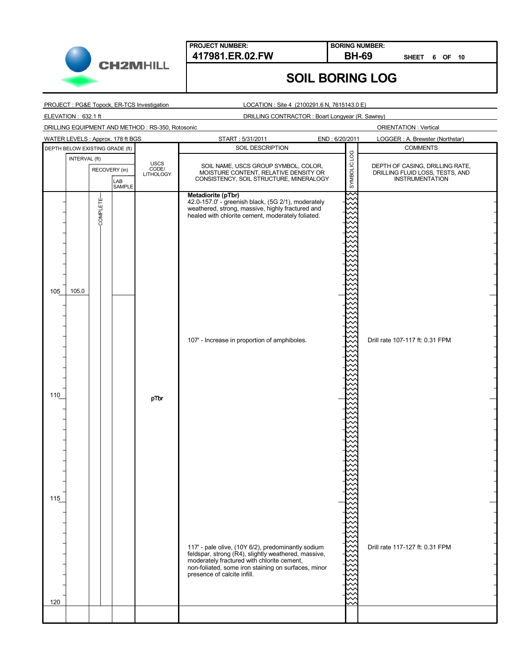

**BORING NUMBER:**

**SHEET 6 OF 10**

### **SOIL BORING LOG**

PROJECT : PG&E Topock, ER-TCS Investigation

LOCATION : Site 4 (2100291.6 N, 7615143.0 E)

ELEVATION : 632.1 ft

DRILLING CONTRACTOR : Boart Longyear (R. Sawrey)

DRILLING EQUIPMENT AND METHOD : RS-350, Rotosonic

| WATER LEVELS : Approx. 178 ft BGS               |                                   | START: 5/31/2011<br>END: 6/20/2011                                                                                                                                                                                                            |              | LOGGER: A. Brewster (Northstar)                                                              |
|-------------------------------------------------|-----------------------------------|-----------------------------------------------------------------------------------------------------------------------------------------------------------------------------------------------------------------------------------------------|--------------|----------------------------------------------------------------------------------------------|
| DEPTH BELOW EXISTING GRADE (ft)                 |                                   | SOIL DESCRIPTION                                                                                                                                                                                                                              |              | <b>COMMENTS</b>                                                                              |
| INTERVAL (ft)<br>RECOVERY (in)<br>LAB<br>SAMPLE | USCS<br>CODE/<br><b>LITHOLOGY</b> | SOIL NAME, USCS GROUP SYMBOL, COLOR,<br>MOISTURE CONTENT, RELATIVE DENSITY OR<br>CONSISTENCY, SOIL STRUCTURE, MINERALOGY                                                                                                                      | SYMBOLIC LOG | DEPTH OF CASING, DRILLING RATE,<br>DRILLING FLUID LOSS, TESTS, AND<br><b>INSTRUMENTATION</b> |
| COMPLETE-<br>105.0<br>105                       |                                   | Metadiorite (pTbr)<br>42.0-157.0' - greenish black, (5G 2/1), moderately<br>weathered, strong, massive, highly fractured and<br>healed with chlorite cement, moderately foliated.                                                             | ᆻ            |                                                                                              |
| 110                                             | pTbr                              | 107' - Increase in proportion of amphiboles.                                                                                                                                                                                                  |              | Drill rate 107-117 ft: 0.31 FPM                                                              |
| 115<br>120                                      |                                   | 117' - pale olive, (10Y 6/2), predominantly sodium<br>feldspar, strong (R4), slightly weathered, massive,<br>moderately fractured with chlorite cement,<br>non-foliated, some iron staining on surfaces, minor<br>presence of calcite infill. |              | Drill rate 117-127 ft: 0.31 FPM                                                              |
|                                                 |                                   |                                                                                                                                                                                                                                               |              |                                                                                              |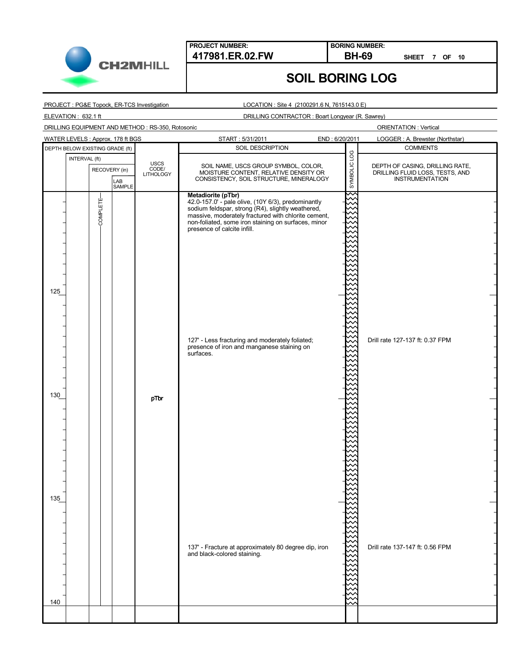

**BORING NUMBER:**

**SHEET 7 OF 10**

## **SOIL BORING LOG**

PROJECT : PG&E Topock, ER-TCS Investigation

ELEVATION : 632.1 ft

LOCATION : Site 4 (2100291.6 N, 7615143.0 E)

DRILLING CONTRACTOR : Boart Longyear (R. Sawrey)

DRILLING EQUIPMENT AND METHOD : RS-350, Rotosonic

| WATER LEVELS : Approx. 178 ft BGS               |                                   | START: 5/31/2011<br>END: 6/20/2011                                                                                                                                                                                                                                                                                                                                                       |                    | LOGGER: A. Brewster (Northstar)                                                              |
|-------------------------------------------------|-----------------------------------|------------------------------------------------------------------------------------------------------------------------------------------------------------------------------------------------------------------------------------------------------------------------------------------------------------------------------------------------------------------------------------------|--------------------|----------------------------------------------------------------------------------------------|
| DEPTH BELOW EXISTING GRADE (ft)                 |                                   | SOIL DESCRIPTION                                                                                                                                                                                                                                                                                                                                                                         |                    | <b>COMMENTS</b>                                                                              |
| INTERVAL (ft)<br>RECOVERY (in)<br>LAB<br>SAMPLE | USCS<br>CODE/<br><b>LITHOLOGY</b> | SOIL NAME, USCS GROUP SYMBOL, COLOR,<br>MOISTURE CONTENT, RELATIVE DENSITY OR<br>CONSISTENCY, SOIL STRUCTURE, MINERALOGY                                                                                                                                                                                                                                                                 | SYMBOLIC LOG       | DEPTH OF CASING, DRILLING RATE,<br>DRILLING FLUID LOSS, TESTS, AND<br><b>INSTRUMENTATION</b> |
| COMPLETE-<br>125                                |                                   | Metadiorite (pTbr)<br>42.0-157.0' - pale olive, (10Y 6/3), predominantly<br>sodium feldspar, strong (R4), slightly weathered,<br>massive, moderately fractured with chlorite cement,<br>non-foliated, some iron staining on surfaces, minor<br>presence of calcite infill.<br>127' - Less fracturing and moderately foliated;<br>presence of iron and manganese staining on<br>surfaces. | $\scriptstyle\sim$ | Drill rate 127-137 ft: 0.37 FPM                                                              |
| 130<br>135                                      | pTbr                              |                                                                                                                                                                                                                                                                                                                                                                                          |                    |                                                                                              |
| 140                                             |                                   | 137' - Fracture at approximately 80 degree dip, iron<br>and black-colored staining.                                                                                                                                                                                                                                                                                                      |                    | Drill rate 137-147 ft: 0.56 FPM                                                              |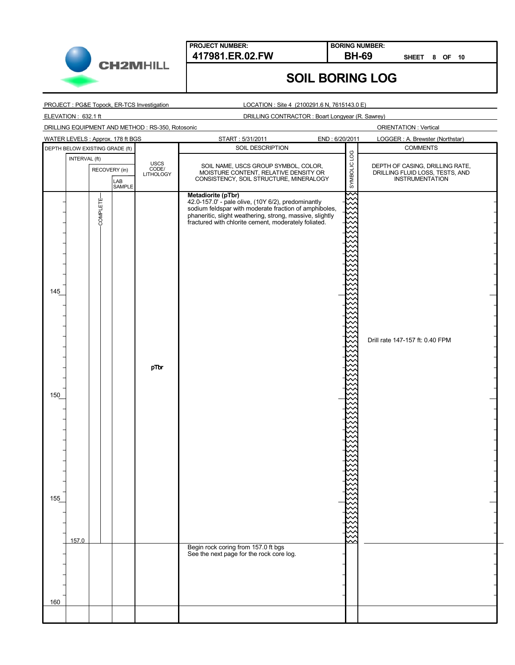

**BORING NUMBER:**

**SHEET 8 OF 10**

## **SOIL BORING LOG**

PROJECT : PG&E Topock, ER-TCS Investigation

LOCATION : Site 4 (2100291.6 N, 7615143.0 E)

ELEVATION : 632.1 ft

DRILLING CONTRACTOR : Boart Longyear (R. Sawrey)

DRILLING EQUIPMENT AND METHOD : RS-350, Rotosonic

| WATER LEVELS : Approx. 178 ft BGS |       |               |               |      | START: 5/31/2011                                                                                                                                                                                                                                                                                                       | END: 6/20/2011 |   | LOGGER: A. Brewster (Northstar) |                                                                                                                          |  |              |                                                                                       |
|-----------------------------------|-------|---------------|---------------|------|------------------------------------------------------------------------------------------------------------------------------------------------------------------------------------------------------------------------------------------------------------------------------------------------------------------------|----------------|---|---------------------------------|--------------------------------------------------------------------------------------------------------------------------|--|--------------|---------------------------------------------------------------------------------------|
| DEPTH BELOW EXISTING GRADE (ft)   |       |               |               |      | SOIL DESCRIPTION                                                                                                                                                                                                                                                                                                       |                |   | <b>COMMENTS</b>                 |                                                                                                                          |  |              |                                                                                       |
|                                   |       | RECOVERY (in) |               |      |                                                                                                                                                                                                                                                                                                                        | INTERVAL (ft)  |   | USCS<br>CODE/<br>LITHOLOGY      | SOIL NAME, USCS GROUP SYMBOL, COLOR,<br>MOISTURE CONTENT, RELATIVE DENSITY OR<br>CONSISTENCY, SOIL STRUCTURE, MINERALOGY |  | SYMBOLIC LOG | DEPTH OF CASING, DRILLING RATE,<br>DRILLING FLUID LOSS, TESTS, AND<br>INSTRUMENTATION |
| 145<br>150<br>155                 | 157.0 | COMPLETE-     | LAB<br>SAMPLE | pTbr | Metadiorite (pTbr)<br>we want (10Y 6/2), predominantly<br>sodium feldspar with moderate fraction of amphiboles,<br>phaneritic, slight weathering, strong, massive, slightly<br>fractured with chlorite cement, moderately foliated.<br>Begin rock coring from 157.0 ft bgs<br>See the next page for the rock core log. |                | ∼ | Drill rate 147-157 ft: 0.40 FPM |                                                                                                                          |  |              |                                                                                       |
|                                   |       |               |               |      |                                                                                                                                                                                                                                                                                                                        |                |   |                                 |                                                                                                                          |  |              |                                                                                       |
|                                   |       |               |               |      |                                                                                                                                                                                                                                                                                                                        |                |   |                                 |                                                                                                                          |  |              |                                                                                       |
| 160                               |       |               |               |      |                                                                                                                                                                                                                                                                                                                        |                |   |                                 |                                                                                                                          |  |              |                                                                                       |
|                                   |       |               |               |      |                                                                                                                                                                                                                                                                                                                        |                |   |                                 |                                                                                                                          |  |              |                                                                                       |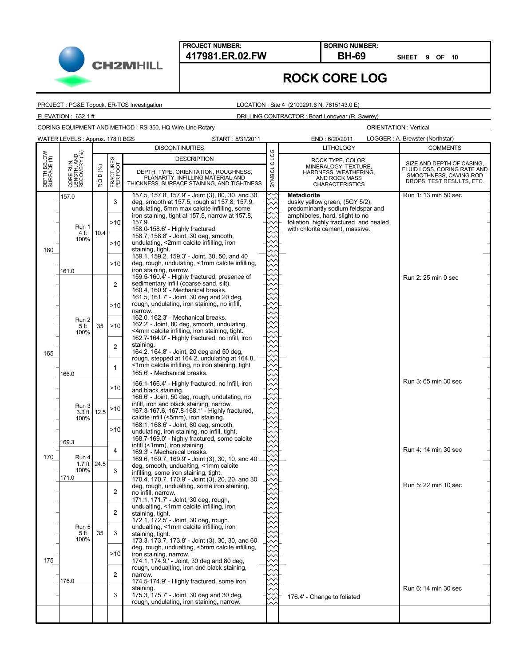

**BORING NUMBER:**

**SHEET 9 OF 10**

#### **ROCK CORE LOG**

PROJECT : PG&E Topock, ER-TCS Investigation

#### LOCATION : Site 4 (2100291.6 N, 7615143.0 E)

ELEVATION : 632.1 ft DRILLING CONTRACTOR : Boart Longyear (R. Sawrey)

CORING EQUIPMENT AND METHOD : RS-350, HQ Wire-Line Rotary

|                             | WATER LEVELS: Approx. 178 ft BGS         |                               |                                              | START: 5/31/2011                                                                                                                                                                                                                                                                                                                                                                                                                                                                                                                                                                                             |              | END: 6/20/2011                                                                                                                                                                                          | LOGGER: A. Brewster (Northstar)                                                                                 |
|-----------------------------|------------------------------------------|-------------------------------|----------------------------------------------|--------------------------------------------------------------------------------------------------------------------------------------------------------------------------------------------------------------------------------------------------------------------------------------------------------------------------------------------------------------------------------------------------------------------------------------------------------------------------------------------------------------------------------------------------------------------------------------------------------------|--------------|---------------------------------------------------------------------------------------------------------------------------------------------------------------------------------------------------------|-----------------------------------------------------------------------------------------------------------------|
|                             |                                          |                               |                                              | <b>DISCONTINUITIES</b>                                                                                                                                                                                                                                                                                                                                                                                                                                                                                                                                                                                       |              | <b>LITHOLOGY</b>                                                                                                                                                                                        | <b>COMMENTS</b>                                                                                                 |
| DEPTH BELOW<br>SURFACE (ft) | CORE RUN,<br>LENGTH, AND<br>RECOVERY (%) | D (%)<br>$\circ$<br>$\propto$ | FRACTURES<br>PER FOOT                        | <b>DESCRIPTION</b><br>DEPTH, TYPE, ORIENTATION, ROUGHNESS,<br>PLANARITY, INFILLING MATERIAL AND<br>THICKNESS, SURFACE STAINING, AND TIGHTNESS                                                                                                                                                                                                                                                                                                                                                                                                                                                                | SYMBOLIC LOG | ROCK TYPE, COLOR,<br>MINERALOGY, TEXTURE,<br>HARDNESS, WEATHERING,<br>AND ROCK MASS<br><b>CHARACTERISTICS</b>                                                                                           | SIZE AND DEPTH OF CASING,<br>FLUID LOSS, CORING RATE AND<br>SMOOTHNESS, CAVING ROD<br>DROPS, TEST RESULTS, ETC. |
| 160                         | 157.0<br>Run 1<br>4 ft<br>100%<br>161.0  | 10.4                          | 3<br>>10<br>>10<br>>10<br>2                  | 157.5, 157.8, 157.9' - Joint (3), 80, 30, and 30<br>deg, smooth at 157.5, rough at 157.8, 157.9,<br>undulating, 5mm max calcite infilling, some<br>iron staining, tight at 157.5, narrow at 157.8,<br>157.9.<br>158.0-158.6' - Highly fractured<br>158.7, 158.8' - Joint, 30 deg, smooth,<br>undulating, <2mm calcite infilling, iron<br>staining, tight.<br>159.1, 159.2, 159.3' - Joint, 30, 50, and 40<br>deg, rough, undulating, <1mm calcite infilling,<br>iron staining, narrow.<br>159.5-160.4' - Highly fractured, presence of<br>sedimentary infill (coarse sand, silt).                            |              | <b>Metadiorite</b><br>dusky yellow green, (5GY 5/2),<br>predominantly sodium feldspar and<br>amphiboles, hard, slight to no<br>foliation, highly fractured and healed<br>with chlorite cement, massive. | Run 1: 13 min 50 sec<br>Run 2: 25 min 0 sec                                                                     |
| 165                         | Run 2<br>5 ft<br>100%<br>166.0           | 35                            | >10<br>>10<br>$\overline{2}$<br>$\mathbf{1}$ | 160.4, 160.9' - Mechanical breaks.<br>161.5, 161.7' - Joint, 30 deg and 20 deg,<br>rough, undulating, iron staining, no infill,<br>narrow.<br>162.0, 162.3' - Mechanical breaks.<br>162.2' - Joint, 80 deg, smooth, undulating,<br><4mm calcite infilling, iron staining, tight.<br>162.7-164.0' - Highly fractured, no infill, iron<br>staining.<br>164.2, 164.8' - Joint, 20 deg and 50 deg,<br>rough, stepped at 164.2, undulating at 164.8,<br><1mm calcite infilling, no iron staining, tight<br>165.6' - Mechanical breaks.                                                                            |              |                                                                                                                                                                                                         |                                                                                                                 |
|                             | Run 3<br>3.3 ft 12.5<br>100%<br>169.3    |                               | >10<br>>10<br>>10                            | 166.1-166.4' - Highly fractured, no infill, iron<br>and black staining.<br>166.6' - Joint, 50 deg, rough, undulating, no<br>infill, iron and black staining, narrow.<br>167.3-167.6, 167.8-168.1' - Highly fractured,<br>calcite infill (<5mm), iron staining.<br>168.1, 168.6' - Joint, 80 deg, smooth,<br>undulating, iron staining, no infill, tight.<br>168.7-169.0' - highly fractured, some calcite                                                                                                                                                                                                    |              |                                                                                                                                                                                                         | Run 3: 65 min 30 sec                                                                                            |
| 170                         | Run 4<br>1.7 ft 24.5<br>100%<br>171.0    |                               | 4<br>3<br>$\overline{2}$                     | infill (<1mm), iron staining.<br>169.3' - Mechanical breaks.<br>169.6, 169.7, 169.9' - Joint (3), 30, 10, and 40.<br>deg, smooth, undualting, <1mm calcite<br>infilling, some iron staining, tight.<br>170.4, 170.7, 170.9' - Joint (3), 20, 20, and 30<br>deg, rough, undualting, some iron staining,<br>no infill, narrow.                                                                                                                                                                                                                                                                                 |              |                                                                                                                                                                                                         | Run 4: 14 min 30 sec<br>Run 5: 22 min 10 sec                                                                    |
| 175                         | Run 5<br>5 ft<br>100%<br>176.0           | 35                            | $\mathcal{P}$<br>3<br>>10<br>2<br>3          | 171.1, 171.7' - Joint, 30 deg, rough,<br>undualting, <1mm calcite infilling, iron<br>staining, tight.<br>172.1, 172.5' - Joint, 30 deg, rough,<br>undualting, <1mm calcite infilling, iron<br>staining, tight.<br>173.3, 173.7, 173.8' - Joint (3), 30, 30, and 60<br>deg, rough, undualting, <5mm calcite infilling,<br>iron staining, narrow.<br>174.1, 174.9,' - Joint, 30 deg and 80 deg,<br>rough, undualting, iron and black staining,<br>narrow.<br>174.5-174.9' - Highly fractured, some iron<br>staining.<br>175.3, 175.7' - Joint, 30 deg and 30 deg,<br>rough, undulating, iron staining, narrow. |              | 176.4' - Change to foliated                                                                                                                                                                             | Run 6: 14 min 30 sec                                                                                            |
|                             |                                          |                               |                                              |                                                                                                                                                                                                                                                                                                                                                                                                                                                                                                                                                                                                              |              |                                                                                                                                                                                                         |                                                                                                                 |
|                             |                                          |                               |                                              |                                                                                                                                                                                                                                                                                                                                                                                                                                                                                                                                                                                                              |              |                                                                                                                                                                                                         |                                                                                                                 |